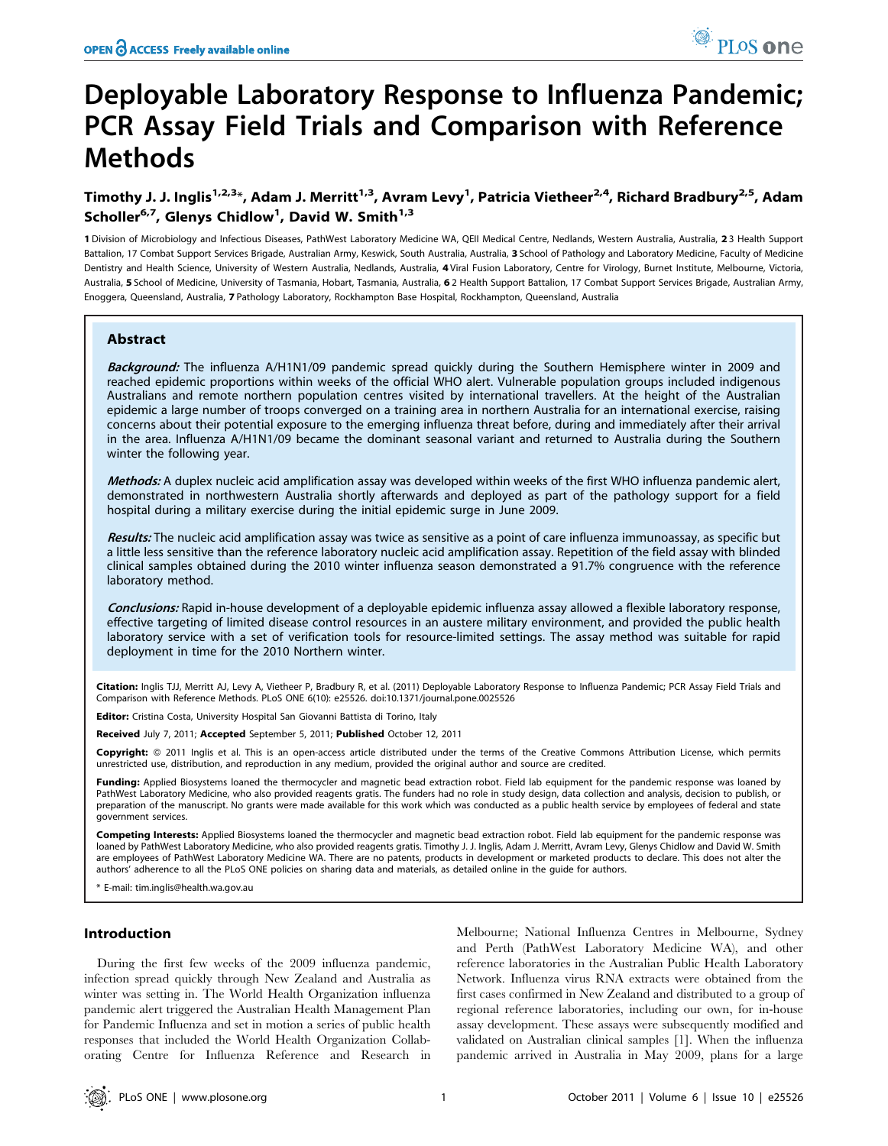# Deployable Laboratory Response to Influenza Pandemic; PCR Assay Field Trials and Comparison with Reference Methods

# Timothy J. J. Inglis<sup>1,2,3</sup>\*, Adam J. Merritt<sup>1,3</sup>, Avram Levy<sup>1</sup>, Patricia Vietheer<sup>2,4</sup>, Richard Bradbury<sup>2,5</sup>, Adam Scholler<sup>6,7</sup>, Glenys Chidlow<sup>1</sup>, David W. Smith<sup>1,3</sup>

1 Division of Microbiology and Infectious Diseases, PathWest Laboratory Medicine WA, QEII Medical Centre, Nedlands, Western Australia, Australia, 23 Health Support Battalion, 17 Combat Support Services Brigade, Australian Army, Keswick, South Australia, Australia, 3 School of Pathology and Laboratory Medicine, Faculty of Medicine Dentistry and Health Science, University of Western Australia, Nedlands, Australia, 4 Viral Fusion Laboratory, Centre for Virology, Burnet Institute, Melbourne, Victoria, Australia, 5 School of Medicine, University of Tasmania, Hobart, Tasmania, Australia, 62 Health Support Battalion, 17 Combat Support Services Brigade, Australian Army, Enoggera, Queensland, Australia, 7 Pathology Laboratory, Rockhampton Base Hospital, Rockhampton, Queensland, Australia

# Abstract

Background: The influenza A/H1N1/09 pandemic spread quickly during the Southern Hemisphere winter in 2009 and reached epidemic proportions within weeks of the official WHO alert. Vulnerable population groups included indigenous Australians and remote northern population centres visited by international travellers. At the height of the Australian epidemic a large number of troops converged on a training area in northern Australia for an international exercise, raising concerns about their potential exposure to the emerging influenza threat before, during and immediately after their arrival in the area. Influenza A/H1N1/09 became the dominant seasonal variant and returned to Australia during the Southern winter the following year.

Methods: A duplex nucleic acid amplification assay was developed within weeks of the first WHO influenza pandemic alert, demonstrated in northwestern Australia shortly afterwards and deployed as part of the pathology support for a field hospital during a military exercise during the initial epidemic surge in June 2009.

Results: The nucleic acid amplification assay was twice as sensitive as a point of care influenza immunoassay, as specific but a little less sensitive than the reference laboratory nucleic acid amplification assay. Repetition of the field assay with blinded clinical samples obtained during the 2010 winter influenza season demonstrated a 91.7% congruence with the reference laboratory method.

Conclusions: Rapid in-house development of a deployable epidemic influenza assay allowed a flexible laboratory response, effective targeting of limited disease control resources in an austere military environment, and provided the public health laboratory service with a set of verification tools for resource-limited settings. The assay method was suitable for rapid deployment in time for the 2010 Northern winter.

Citation: Inglis TJJ, Merritt AJ, Levy A, Vietheer P, Bradbury R, et al. (2011) Deployable Laboratory Response to Influenza Pandemic; PCR Assay Field Trials and Comparison with Reference Methods. PLoS ONE 6(10): e25526. doi:10.1371/journal.pone.0025526

Editor: Cristina Costa, University Hospital San Giovanni Battista di Torino, Italy

Received July 7, 2011; Accepted September 5, 2011; Published October 12, 2011

Copyright: © 2011 Inglis et al. This is an open-access article distributed under the terms of the Creative Commons Attribution License, which permits unrestricted use, distribution, and reproduction in any medium, provided the original author and source are credited.

Funding: Applied Biosystems loaned the thermocycler and magnetic bead extraction robot. Field lab equipment for the pandemic response was loaned by PathWest Laboratory Medicine, who also provided reagents gratis. The funders had no role in study design, data collection and analysis, decision to publish, or preparation of the manuscript. No grants were made available for this work which was conducted as a public health service by employees of federal and state government services.

Competing Interests: Applied Biosystems loaned the thermocycler and magnetic bead extraction robot. Field lab equipment for the pandemic response was loaned by PathWest Laboratory Medicine, who also provided reagents gratis. Timothy J. J. Inglis, Adam J. Merritt, Avram Levy, Glenys Chidlow and David W. Smith are employees of PathWest Laboratory Medicine WA. There are no patents, products in development or marketed products to declare. This does not alter the authors' adherence to all the PLoS ONE policies on sharing data and materials, as detailed online in the guide for authors.

\* E-mail: tim.inglis@health.wa.gov.au

# Introduction

During the first few weeks of the 2009 influenza pandemic, infection spread quickly through New Zealand and Australia as winter was setting in. The World Health Organization influenza pandemic alert triggered the Australian Health Management Plan for Pandemic Influenza and set in motion a series of public health responses that included the World Health Organization Collaborating Centre for Influenza Reference and Research in Melbourne; National Influenza Centres in Melbourne, Sydney and Perth (PathWest Laboratory Medicine WA), and other reference laboratories in the Australian Public Health Laboratory Network. Influenza virus RNA extracts were obtained from the first cases confirmed in New Zealand and distributed to a group of regional reference laboratories, including our own, for in-house assay development. These assays were subsequently modified and validated on Australian clinical samples [1]. When the influenza pandemic arrived in Australia in May 2009, plans for a large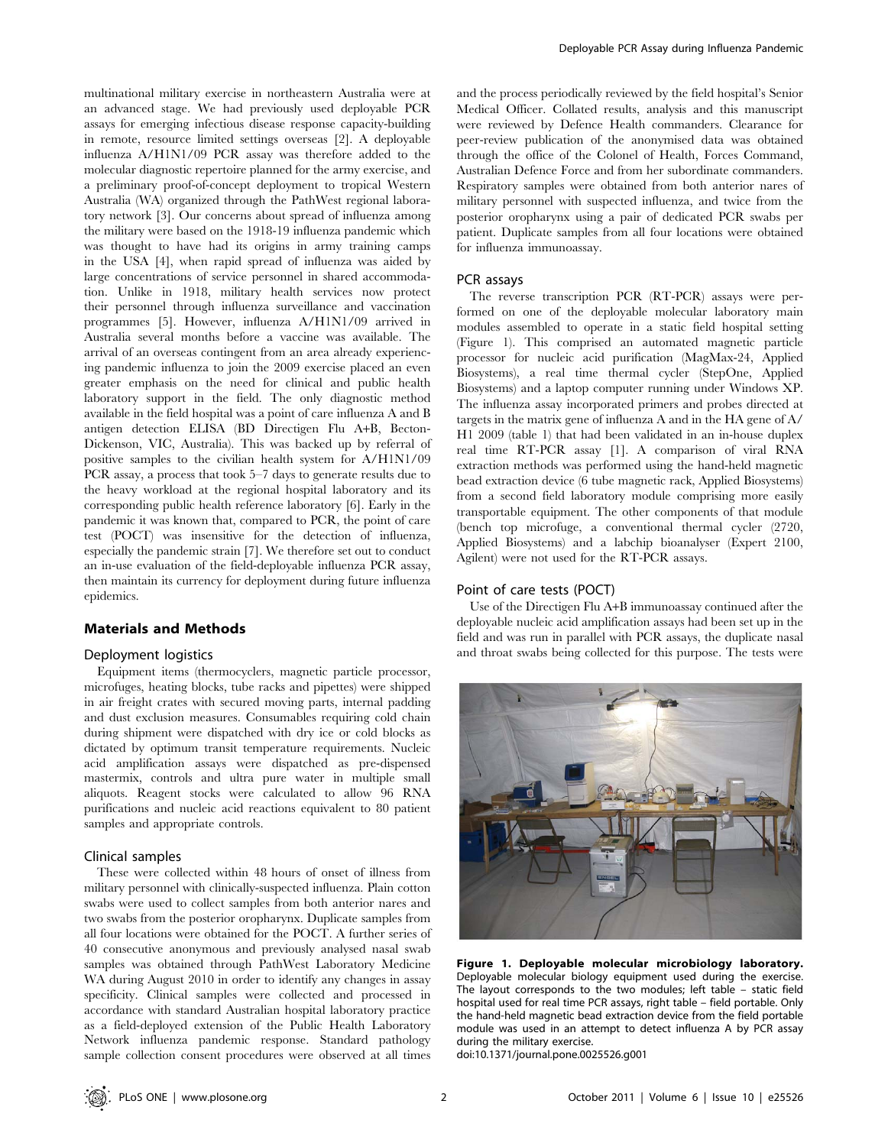multinational military exercise in northeastern Australia were at an advanced stage. We had previously used deployable PCR assays for emerging infectious disease response capacity-building in remote, resource limited settings overseas [2]. A deployable influenza A/H1N1/09 PCR assay was therefore added to the molecular diagnostic repertoire planned for the army exercise, and a preliminary proof-of-concept deployment to tropical Western Australia (WA) organized through the PathWest regional laboratory network [3]. Our concerns about spread of influenza among the military were based on the 1918-19 influenza pandemic which was thought to have had its origins in army training camps in the USA [4], when rapid spread of influenza was aided by large concentrations of service personnel in shared accommodation. Unlike in 1918, military health services now protect their personnel through influenza surveillance and vaccination programmes [5]. However, influenza A/H1N1/09 arrived in Australia several months before a vaccine was available. The arrival of an overseas contingent from an area already experiencing pandemic influenza to join the 2009 exercise placed an even greater emphasis on the need for clinical and public health laboratory support in the field. The only diagnostic method available in the field hospital was a point of care influenza A and B antigen detection ELISA (BD Directigen Flu A+B, Becton-Dickenson, VIC, Australia). This was backed up by referral of positive samples to the civilian health system for A/H1N1/09 PCR assay, a process that took 5–7 days to generate results due to the heavy workload at the regional hospital laboratory and its corresponding public health reference laboratory [6]. Early in the pandemic it was known that, compared to PCR, the point of care test (POCT) was insensitive for the detection of influenza, especially the pandemic strain [7]. We therefore set out to conduct an in-use evaluation of the field-deployable influenza PCR assay, then maintain its currency for deployment during future influenza epidemics.

# Materials and Methods

#### Deployment logistics

Equipment items (thermocyclers, magnetic particle processor, microfuges, heating blocks, tube racks and pipettes) were shipped in air freight crates with secured moving parts, internal padding and dust exclusion measures. Consumables requiring cold chain during shipment were dispatched with dry ice or cold blocks as dictated by optimum transit temperature requirements. Nucleic acid amplification assays were dispatched as pre-dispensed mastermix, controls and ultra pure water in multiple small aliquots. Reagent stocks were calculated to allow 96 RNA purifications and nucleic acid reactions equivalent to 80 patient samples and appropriate controls.

#### Clinical samples

These were collected within 48 hours of onset of illness from military personnel with clinically-suspected influenza. Plain cotton swabs were used to collect samples from both anterior nares and two swabs from the posterior oropharynx. Duplicate samples from all four locations were obtained for the POCT. A further series of 40 consecutive anonymous and previously analysed nasal swab samples was obtained through PathWest Laboratory Medicine WA during August 2010 in order to identify any changes in assay specificity. Clinical samples were collected and processed in accordance with standard Australian hospital laboratory practice as a field-deployed extension of the Public Health Laboratory Network influenza pandemic response. Standard pathology sample collection consent procedures were observed at all times and the process periodically reviewed by the field hospital's Senior Medical Officer. Collated results, analysis and this manuscript were reviewed by Defence Health commanders. Clearance for peer-review publication of the anonymised data was obtained through the office of the Colonel of Health, Forces Command, Australian Defence Force and from her subordinate commanders. Respiratory samples were obtained from both anterior nares of military personnel with suspected influenza, and twice from the posterior oropharynx using a pair of dedicated PCR swabs per patient. Duplicate samples from all four locations were obtained for influenza immunoassay.

#### PCR assays

The reverse transcription PCR (RT-PCR) assays were performed on one of the deployable molecular laboratory main modules assembled to operate in a static field hospital setting (Figure 1). This comprised an automated magnetic particle processor for nucleic acid purification (MagMax-24, Applied Biosystems), a real time thermal cycler (StepOne, Applied Biosystems) and a laptop computer running under Windows XP. The influenza assay incorporated primers and probes directed at targets in the matrix gene of influenza A and in the HA gene of A/ H1 2009 (table 1) that had been validated in an in-house duplex real time RT-PCR assay [1]. A comparison of viral RNA extraction methods was performed using the hand-held magnetic bead extraction device (6 tube magnetic rack, Applied Biosystems) from a second field laboratory module comprising more easily transportable equipment. The other components of that module (bench top microfuge, a conventional thermal cycler (2720, Applied Biosystems) and a labchip bioanalyser (Expert 2100, Agilent) were not used for the RT-PCR assays.

## Point of care tests (POCT)

Use of the Directigen Flu A+B immunoassay continued after the deployable nucleic acid amplification assays had been set up in the field and was run in parallel with PCR assays, the duplicate nasal and throat swabs being collected for this purpose. The tests were



Figure 1. Deployable molecular microbiology laboratory. Deployable molecular biology equipment used during the exercise. The layout corresponds to the two modules; left table – static field hospital used for real time PCR assays, right table – field portable. Only the hand-held magnetic bead extraction device from the field portable module was used in an attempt to detect influenza A by PCR assay during the military exercise.

doi:10.1371/journal.pone.0025526.g001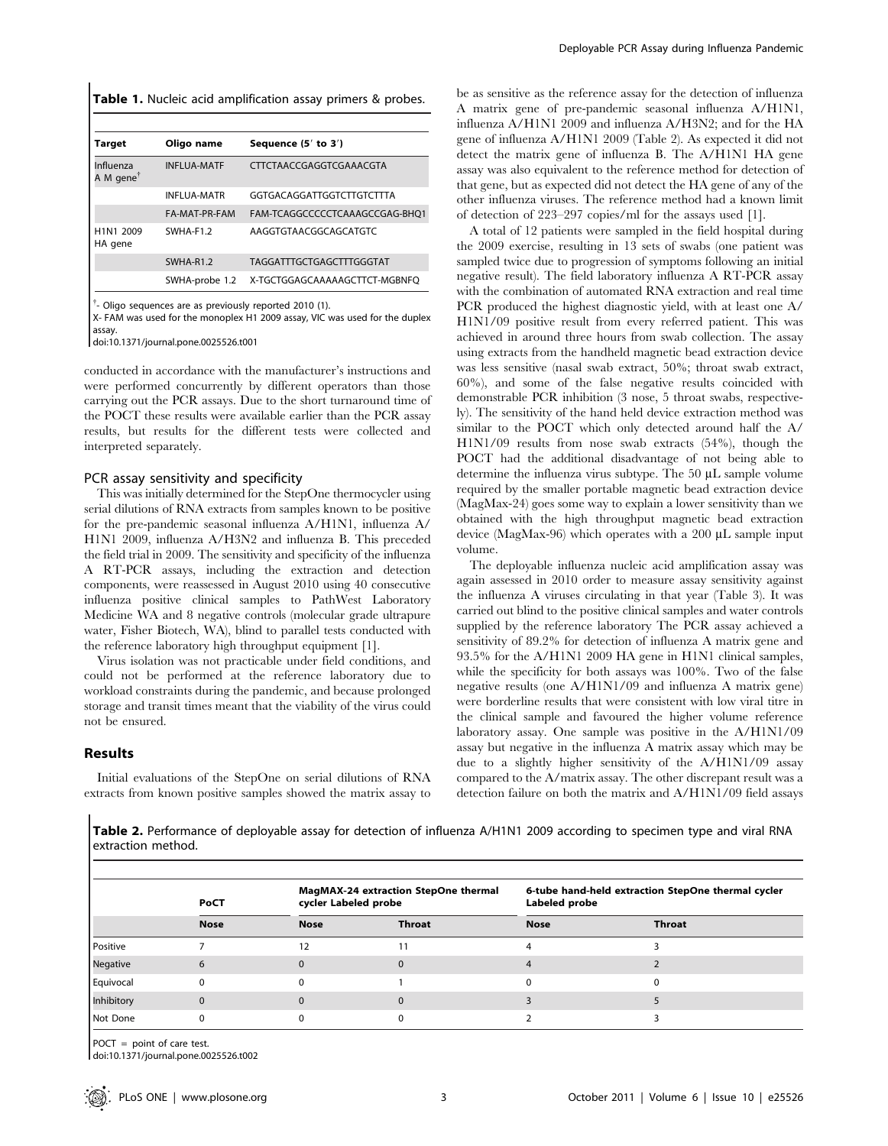|  |  |  |  | Table 1. Nucleic acid amplification assay primers & probes. |  |  |  |  |
|--|--|--|--|-------------------------------------------------------------|--|--|--|--|
|--|--|--|--|-------------------------------------------------------------|--|--|--|--|

| Target                             | Oligo name         | Sequence (5' to 3')            |
|------------------------------------|--------------------|--------------------------------|
| Influenza<br>A M gene <sup>†</sup> | <b>INFLUA-MATF</b> | CTTCTAACCGAGGTCGAAACGTA        |
|                                    | <b>INFLUA-MATR</b> | GGTGACAGGATTGGTCTTGTCTTTA      |
|                                    | FA-MAT-PR-FAM      | FAM-TCAGGCCCCCTCAAAGCCGAG-BHQ1 |
| H1N1 2009<br>HA gene               | SWHA-F1.2          | AAGGTGTAACGGCAGCATGTC          |
|                                    | SWHA-R1.2          | TAGGATTTGCTGAGCTTTGGGTAT       |
|                                    | SWHA-probe 1.2     | X-TGCTGGAGCAAAAAGCTTCT-MGBNFO  |

<sup>†</sup>- Oligo sequences are as previously reported 2010 (1).

X- FAM was used for the monoplex H1 2009 assay, VIC was used for the duplex assay.

doi:10.1371/journal.pone.0025526.t001

conducted in accordance with the manufacturer's instructions and were performed concurrently by different operators than those carrying out the PCR assays. Due to the short turnaround time of the POCT these results were available earlier than the PCR assay results, but results for the different tests were collected and interpreted separately.

#### PCR assay sensitivity and specificity

This was initially determined for the StepOne thermocycler using serial dilutions of RNA extracts from samples known to be positive for the pre-pandemic seasonal influenza A/H1N1, influenza A/ H1N1 2009, influenza A/H3N2 and influenza B. This preceded the field trial in 2009. The sensitivity and specificity of the influenza A RT-PCR assays, including the extraction and detection components, were reassessed in August 2010 using 40 consecutive influenza positive clinical samples to PathWest Laboratory Medicine WA and 8 negative controls (molecular grade ultrapure water, Fisher Biotech, WA), blind to parallel tests conducted with the reference laboratory high throughput equipment [1].

Virus isolation was not practicable under field conditions, and could not be performed at the reference laboratory due to workload constraints during the pandemic, and because prolonged storage and transit times meant that the viability of the virus could not be ensured.

# Results

Initial evaluations of the StepOne on serial dilutions of RNA extracts from known positive samples showed the matrix assay to be as sensitive as the reference assay for the detection of influenza A matrix gene of pre-pandemic seasonal influenza A/H1N1, influenza A/H1N1 2009 and influenza A/H3N2; and for the HA gene of influenza A/H1N1 2009 (Table 2). As expected it did not detect the matrix gene of influenza B. The A/H1N1 HA gene assay was also equivalent to the reference method for detection of that gene, but as expected did not detect the HA gene of any of the other influenza viruses. The reference method had a known limit of detection of 223–297 copies/ml for the assays used [1].

A total of 12 patients were sampled in the field hospital during the 2009 exercise, resulting in 13 sets of swabs (one patient was sampled twice due to progression of symptoms following an initial negative result). The field laboratory influenza A RT-PCR assay with the combination of automated RNA extraction and real time PCR produced the highest diagnostic yield, with at least one A/ H1N1/09 positive result from every referred patient. This was achieved in around three hours from swab collection. The assay using extracts from the handheld magnetic bead extraction device was less sensitive (nasal swab extract, 50%; throat swab extract, 60%), and some of the false negative results coincided with demonstrable PCR inhibition (3 nose, 5 throat swabs, respectively). The sensitivity of the hand held device extraction method was similar to the POCT which only detected around half the A/ H1N1/09 results from nose swab extracts (54%), though the POCT had the additional disadvantage of not being able to determine the influenza virus subtype. The  $50 \mu L$  sample volume required by the smaller portable magnetic bead extraction device (MagMax-24) goes some way to explain a lower sensitivity than we obtained with the high throughput magnetic bead extraction device (MagMax-96) which operates with a 200  $\mu$ L sample input volume.

The deployable influenza nucleic acid amplification assay was again assessed in 2010 order to measure assay sensitivity against the influenza A viruses circulating in that year (Table 3). It was carried out blind to the positive clinical samples and water controls supplied by the reference laboratory The PCR assay achieved a sensitivity of 89.2% for detection of influenza A matrix gene and 93.5% for the A/H1N1 2009 HA gene in H1N1 clinical samples, while the specificity for both assays was 100%. Two of the false negative results (one A/H1N1/09 and influenza A matrix gene) were borderline results that were consistent with low viral titre in the clinical sample and favoured the higher volume reference laboratory assay. One sample was positive in the A/H1N1/09 assay but negative in the influenza A matrix assay which may be due to a slightly higher sensitivity of the A/H1N1/09 assay compared to the A/matrix assay. The other discrepant result was a detection failure on both the matrix and A/H1N1/09 field assays

Table 2. Performance of deployable assay for detection of influenza A/H1N1 2009 according to specimen type and viral RNA extraction method.

|            | PoCT        | cycler Labeled probe | MagMAX-24 extraction StepOne thermal | 6-tube hand-held extraction StepOne thermal cycler<br>Labeled probe |        |  |
|------------|-------------|----------------------|--------------------------------------|---------------------------------------------------------------------|--------|--|
|            | <b>Nose</b> | <b>Nose</b>          | Throat                               | <b>Nose</b>                                                         | Throat |  |
| Positive   |             | 12                   |                                      |                                                                     |        |  |
| Negative   |             |                      |                                      |                                                                     |        |  |
| Equivocal  |             |                      |                                      |                                                                     |        |  |
| Inhibitory |             |                      |                                      |                                                                     |        |  |
| Not Done   |             |                      |                                      |                                                                     |        |  |

POCT = point of care test.

doi:10.1371/journal.pone.0025526.t002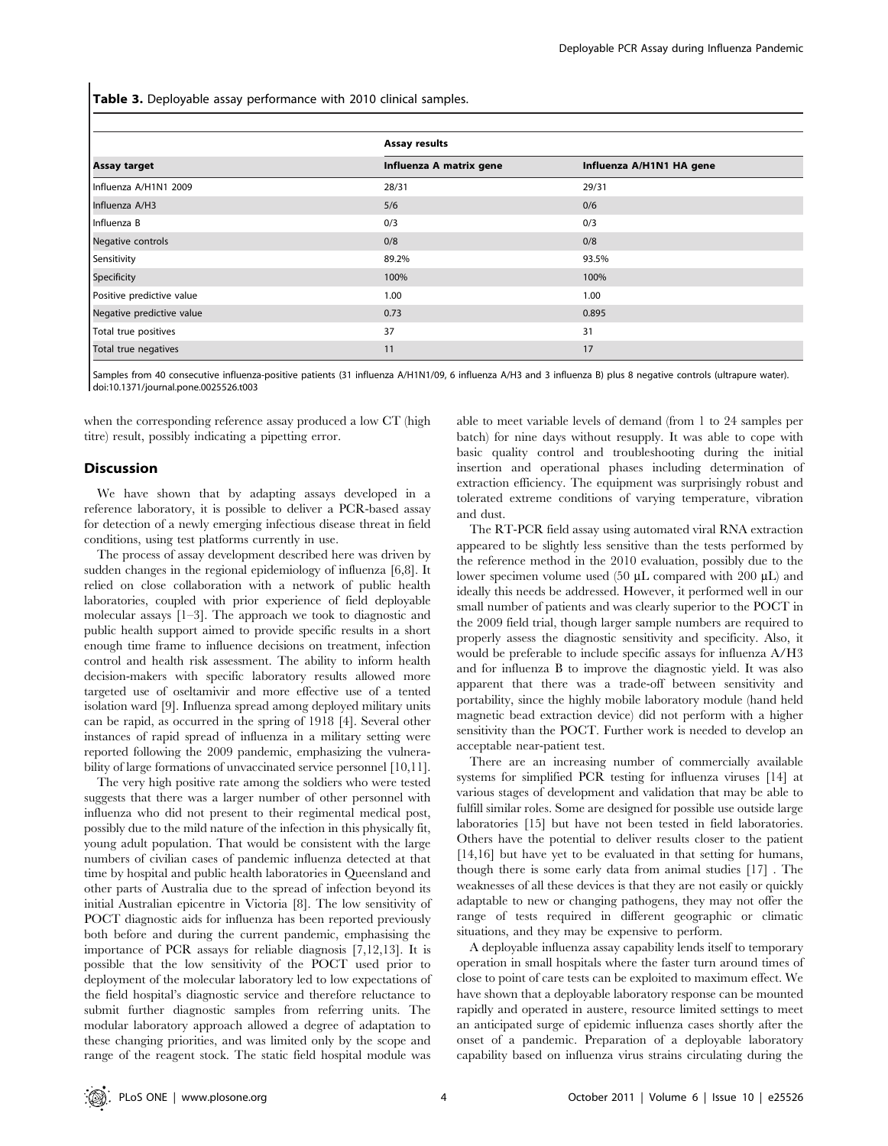Table 3. Deployable assay performance with 2010 clinical samples.

|                           | Assay results           |                          |  |  |
|---------------------------|-------------------------|--------------------------|--|--|
| Assay target              | Influenza A matrix gene | Influenza A/H1N1 HA gene |  |  |
| Influenza A/H1N1 2009     | 28/31                   | 29/31                    |  |  |
| Influenza A/H3            | 5/6                     | 0/6                      |  |  |
| Influenza B               | 0/3                     | 0/3                      |  |  |
| Negative controls         | 0/8                     | 0/8                      |  |  |
| Sensitivity               | 89.2%                   | 93.5%                    |  |  |
| Specificity               | 100%                    | 100%                     |  |  |
| Positive predictive value | 1.00                    | 1.00                     |  |  |
| Negative predictive value | 0.73                    | 0.895                    |  |  |
| Total true positives      | 37                      | 31                       |  |  |
| Total true negatives      | 11                      | 17                       |  |  |

Samples from 40 consecutive influenza-positive patients (31 influenza A/H1N1/09, 6 influenza A/H3 and 3 influenza B) plus 8 negative controls (ultrapure water). doi:10.1371/journal.pone.0025526.t003

when the corresponding reference assay produced a low CT (high titre) result, possibly indicating a pipetting error.

#### **Discussion**

We have shown that by adapting assays developed in a reference laboratory, it is possible to deliver a PCR-based assay for detection of a newly emerging infectious disease threat in field conditions, using test platforms currently in use.

The process of assay development described here was driven by sudden changes in the regional epidemiology of influenza [6,8]. It relied on close collaboration with a network of public health laboratories, coupled with prior experience of field deployable molecular assays [1–3]. The approach we took to diagnostic and public health support aimed to provide specific results in a short enough time frame to influence decisions on treatment, infection control and health risk assessment. The ability to inform health decision-makers with specific laboratory results allowed more targeted use of oseltamivir and more effective use of a tented isolation ward [9]. Influenza spread among deployed military units can be rapid, as occurred in the spring of 1918 [4]. Several other instances of rapid spread of influenza in a military setting were reported following the 2009 pandemic, emphasizing the vulnerability of large formations of unvaccinated service personnel [10,11].

The very high positive rate among the soldiers who were tested suggests that there was a larger number of other personnel with influenza who did not present to their regimental medical post, possibly due to the mild nature of the infection in this physically fit, young adult population. That would be consistent with the large numbers of civilian cases of pandemic influenza detected at that time by hospital and public health laboratories in Queensland and other parts of Australia due to the spread of infection beyond its initial Australian epicentre in Victoria [8]. The low sensitivity of POCT diagnostic aids for influenza has been reported previously both before and during the current pandemic, emphasising the importance of PCR assays for reliable diagnosis [7,12,13]. It is possible that the low sensitivity of the POCT used prior to deployment of the molecular laboratory led to low expectations of the field hospital's diagnostic service and therefore reluctance to submit further diagnostic samples from referring units. The modular laboratory approach allowed a degree of adaptation to these changing priorities, and was limited only by the scope and range of the reagent stock. The static field hospital module was able to meet variable levels of demand (from 1 to 24 samples per batch) for nine days without resupply. It was able to cope with basic quality control and troubleshooting during the initial insertion and operational phases including determination of extraction efficiency. The equipment was surprisingly robust and tolerated extreme conditions of varying temperature, vibration and dust.

The RT-PCR field assay using automated viral RNA extraction appeared to be slightly less sensitive than the tests performed by the reference method in the 2010 evaluation, possibly due to the lower specimen volume used (50  $\mu$ L compared with 200  $\mu$ L) and ideally this needs be addressed. However, it performed well in our small number of patients and was clearly superior to the POCT in the 2009 field trial, though larger sample numbers are required to properly assess the diagnostic sensitivity and specificity. Also, it would be preferable to include specific assays for influenza A/H3 and for influenza B to improve the diagnostic yield. It was also apparent that there was a trade-off between sensitivity and portability, since the highly mobile laboratory module (hand held magnetic bead extraction device) did not perform with a higher sensitivity than the POCT. Further work is needed to develop an acceptable near-patient test.

There are an increasing number of commercially available systems for simplified PCR testing for influenza viruses [14] at various stages of development and validation that may be able to fulfill similar roles. Some are designed for possible use outside large laboratories [15] but have not been tested in field laboratories. Others have the potential to deliver results closer to the patient [14,16] but have yet to be evaluated in that setting for humans, though there is some early data from animal studies [17] . The weaknesses of all these devices is that they are not easily or quickly adaptable to new or changing pathogens, they may not offer the range of tests required in different geographic or climatic situations, and they may be expensive to perform.

A deployable influenza assay capability lends itself to temporary operation in small hospitals where the faster turn around times of close to point of care tests can be exploited to maximum effect. We have shown that a deployable laboratory response can be mounted rapidly and operated in austere, resource limited settings to meet an anticipated surge of epidemic influenza cases shortly after the onset of a pandemic. Preparation of a deployable laboratory capability based on influenza virus strains circulating during the